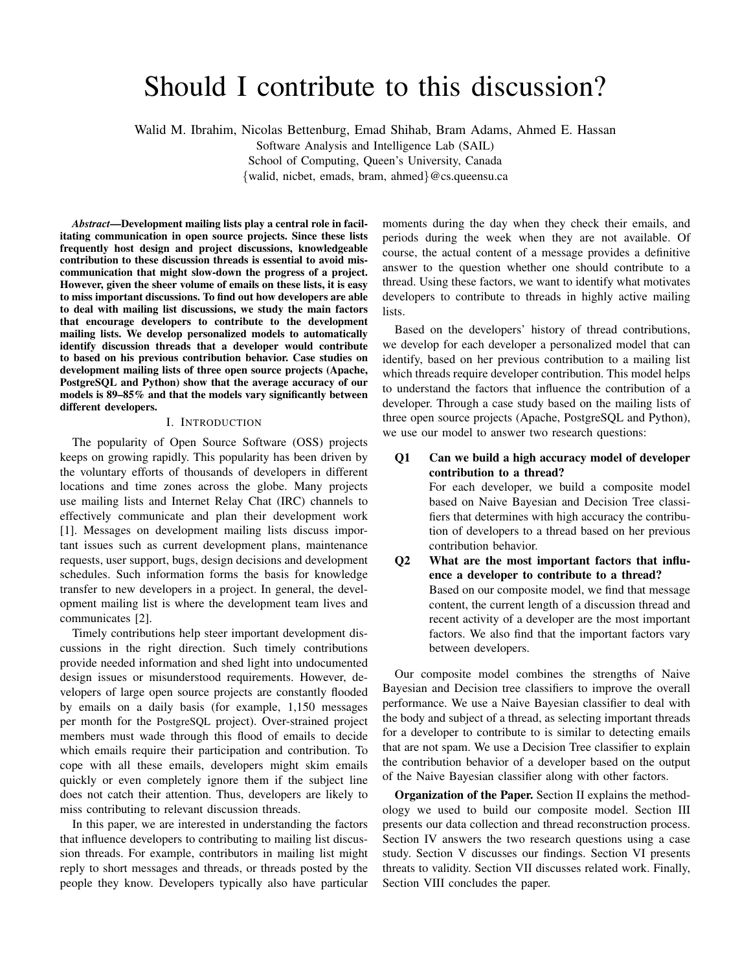# Should I contribute to this discussion?

Walid M. Ibrahim, Nicolas Bettenburg, Emad Shihab, Bram Adams, Ahmed E. Hassan

Software Analysis and Intelligence Lab (SAIL)

School of Computing, Queen's University, Canada

{walid, nicbet, emads, bram, ahmed}@cs.queensu.ca

*Abstract*—Development mailing lists play a central role in facilitating communication in open source projects. Since these lists frequently host design and project discussions, knowledgeable contribution to these discussion threads is essential to avoid miscommunication that might slow-down the progress of a project. However, given the sheer volume of emails on these lists, it is easy to miss important discussions. To find out how developers are able to deal with mailing list discussions, we study the main factors that encourage developers to contribute to the development mailing lists. We develop personalized models to automatically identify discussion threads that a developer would contribute to based on his previous contribution behavior. Case studies on development mailing lists of three open source projects (Apache, PostgreSQL and Python) show that the average accuracy of our models is 89–85% and that the models vary significantly between different developers.

### I. INTRODUCTION

The popularity of Open Source Software (OSS) projects keeps on growing rapidly. This popularity has been driven by the voluntary efforts of thousands of developers in different locations and time zones across the globe. Many projects use mailing lists and Internet Relay Chat (IRC) channels to effectively communicate and plan their development work [1]. Messages on development mailing lists discuss important issues such as current development plans, maintenance requests, user support, bugs, design decisions and development schedules. Such information forms the basis for knowledge transfer to new developers in a project. In general, the development mailing list is where the development team lives and communicates [2].

Timely contributions help steer important development discussions in the right direction. Such timely contributions provide needed information and shed light into undocumented design issues or misunderstood requirements. However, developers of large open source projects are constantly flooded by emails on a daily basis (for example, 1,150 messages per month for the PostgreSQL project). Over-strained project members must wade through this flood of emails to decide which emails require their participation and contribution. To cope with all these emails, developers might skim emails quickly or even completely ignore them if the subject line does not catch their attention. Thus, developers are likely to miss contributing to relevant discussion threads.

In this paper, we are interested in understanding the factors that influence developers to contributing to mailing list discussion threads. For example, contributors in mailing list might reply to short messages and threads, or threads posted by the people they know. Developers typically also have particular

moments during the day when they check their emails, and periods during the week when they are not available. Of course, the actual content of a message provides a definitive answer to the question whether one should contribute to a thread. Using these factors, we want to identify what motivates developers to contribute to threads in highly active mailing lists.

Based on the developers' history of thread contributions, we develop for each developer a personalized model that can identify, based on her previous contribution to a mailing list which threads require developer contribution. This model helps to understand the factors that influence the contribution of a developer. Through a case study based on the mailing lists of three open source projects (Apache, PostgreSQL and Python), we use our model to answer two research questions:

Q1 Can we build a high accuracy model of developer contribution to a thread?

> For each developer, we build a composite model based on Naive Bayesian and Decision Tree classifiers that determines with high accuracy the contribution of developers to a thread based on her previous contribution behavior.

Q2 What are the most important factors that influence a developer to contribute to a thread? Based on our composite model, we find that message content, the current length of a discussion thread and recent activity of a developer are the most important factors. We also find that the important factors vary between developers.

Our composite model combines the strengths of Naive Bayesian and Decision tree classifiers to improve the overall performance. We use a Naive Bayesian classifier to deal with the body and subject of a thread, as selecting important threads for a developer to contribute to is similar to detecting emails that are not spam. We use a Decision Tree classifier to explain the contribution behavior of a developer based on the output of the Naive Bayesian classifier along with other factors.

Organization of the Paper. Section II explains the methodology we used to build our composite model. Section III presents our data collection and thread reconstruction process. Section IV answers the two research questions using a case study. Section V discusses our findings. Section VI presents threats to validity. Section VII discusses related work. Finally, Section VIII concludes the paper.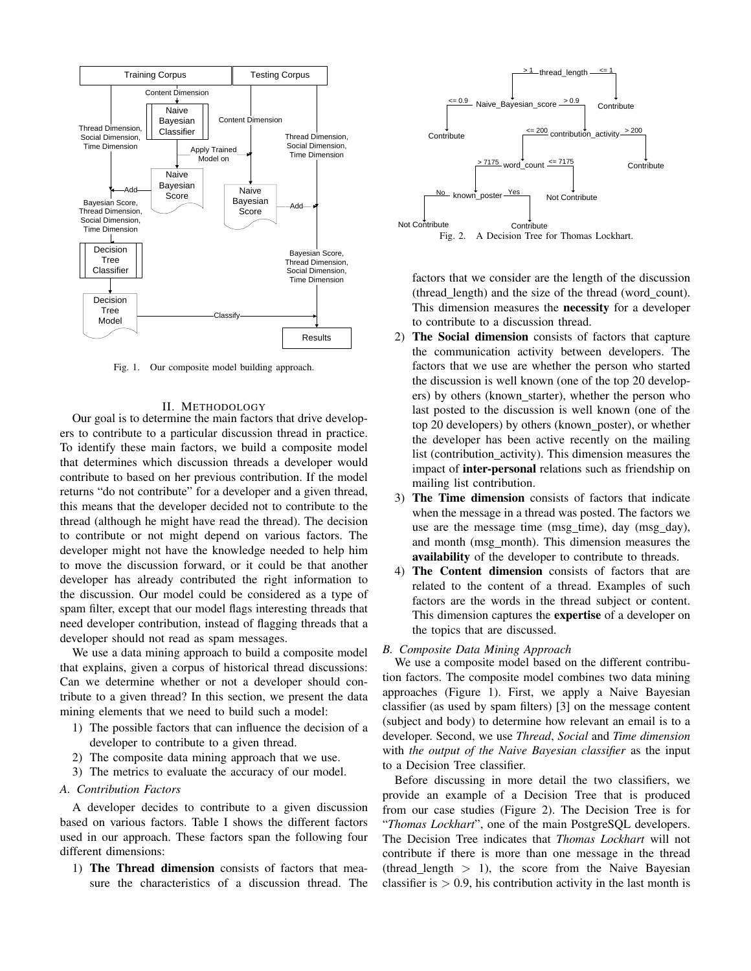

Fig. 1. Our composite model building approach.

#### II. METHODOLOGY

Our goal is to determine the main factors that drive developers to contribute to a particular discussion thread in practice. To identify these main factors, we build a composite model that determines which discussion threads a developer would contribute to based on her previous contribution. If the model returns "do not contribute" for a developer and a given thread, this means that the developer decided not to contribute to the thread (although he might have read the thread). The decision to contribute or not might depend on various factors. The developer might not have the knowledge needed to help him to move the discussion forward, or it could be that another developer has already contributed the right information to the discussion. Our model could be considered as a type of spam filter, except that our model flags interesting threads that need developer contribution, instead of flagging threads that a developer should not read as spam messages.

We use a data mining approach to build a composite model that explains, given a corpus of historical thread discussions: Can we determine whether or not a developer should contribute to a given thread? In this section, we present the data mining elements that we need to build such a model:

- 1) The possible factors that can influence the decision of a developer to contribute to a given thread.
- 2) The composite data mining approach that we use.
- 3) The metrics to evaluate the accuracy of our model.

# *A. Contribution Factors*

A developer decides to contribute to a given discussion based on various factors. Table I shows the different factors used in our approach. These factors span the following four different dimensions:

1) The Thread dimension consists of factors that measure the characteristics of a discussion thread. The



factors that we consider are the length of the discussion (thread length) and the size of the thread (word count). This dimension measures the necessity for a developer to contribute to a discussion thread.

- 2) The Social dimension consists of factors that capture the communication activity between developers. The factors that we use are whether the person who started the discussion is well known (one of the top 20 developers) by others (known\_starter), whether the person who last posted to the discussion is well known (one of the top 20 developers) by others (known\_poster), or whether the developer has been active recently on the mailing list (contribution activity). This dimension measures the impact of inter-personal relations such as friendship on mailing list contribution.
- 3) The Time dimension consists of factors that indicate when the message in a thread was posted. The factors we use are the message time (msg time), day (msg day), and month (msg month). This dimension measures the availability of the developer to contribute to threads.
- 4) The Content dimension consists of factors that are related to the content of a thread. Examples of such factors are the words in the thread subject or content. This dimension captures the expertise of a developer on the topics that are discussed.

## *B. Composite Data Mining Approach*

We use a composite model based on the different contribution factors. The composite model combines two data mining approaches (Figure 1). First, we apply a Naive Bayesian classifier (as used by spam filters) [3] on the message content (subject and body) to determine how relevant an email is to a developer. Second, we use *Thread*, *Social* and *Time dimension* with *the output of the Naive Bayesian classifier* as the input to a Decision Tree classifier.

Before discussing in more detail the two classifiers, we provide an example of a Decision Tree that is produced from our case studies (Figure 2). The Decision Tree is for "*Thomas Lockhart*", one of the main PostgreSQL developers. The Decision Tree indicates that *Thomas Lockhart* will not contribute if there is more than one message in the thread (thread length  $> 1$ ), the score from the Naive Bayesian classifier is  $> 0.9$ , his contribution activity in the last month is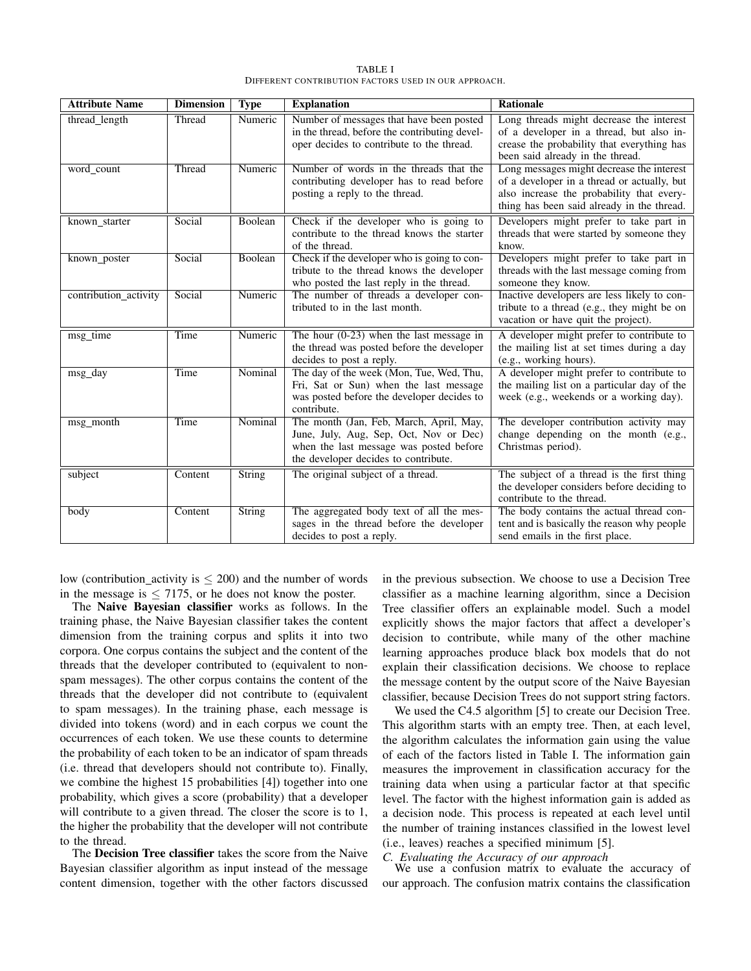TABLE I DIFFERENT CONTRIBUTION FACTORS USED IN OUR APPROACH.

| <b>Attribute Name</b> | <b>Dimension</b> | <b>Type</b>   | <b>Explanation</b>                                                                                                                                                   | <b>Rationale</b>                                                                                                                                                                    |
|-----------------------|------------------|---------------|----------------------------------------------------------------------------------------------------------------------------------------------------------------------|-------------------------------------------------------------------------------------------------------------------------------------------------------------------------------------|
| thread length         | Thread           | Numeric       | Number of messages that have been posted<br>in the thread, before the contributing devel-<br>oper decides to contribute to the thread.                               | Long threads might decrease the interest<br>of a developer in a thread, but also in-<br>crease the probability that everything has<br>been said already in the thread.              |
| word count            | Thread           | Numeric       | Number of words in the threads that the<br>contributing developer has to read before<br>posting a reply to the thread.                                               | Long messages might decrease the interest<br>of a developer in a thread or actually, but<br>also increase the probability that every-<br>thing has been said already in the thread. |
| known_starter         | Social           | Boolean       | Check if the developer who is going to<br>contribute to the thread knows the starter<br>of the thread.                                                               | Developers might prefer to take part in<br>threads that were started by someone they<br>know.                                                                                       |
| known_poster          | Social           | Boolean       | Check if the developer who is going to con-<br>tribute to the thread knows the developer<br>who posted the last reply in the thread.                                 | Developers might prefer to take part in<br>threads with the last message coming from<br>someone they know.                                                                          |
| contribution activity | Social           | Numeric       | The number of threads a developer con-<br>tributed to in the last month.                                                                                             | Inactive developers are less likely to con-<br>tribute to a thread (e.g., they might be on<br>vacation or have quit the project).                                                   |
| msg_time              | Time             | Numeric       | The hour $(0-23)$ when the last message in<br>the thread was posted before the developer<br>decides to post a reply.                                                 | A developer might prefer to contribute to<br>the mailing list at set times during a day<br>(e.g., working hours).                                                                   |
| msg day               | Time             | Nominal       | The day of the week (Mon, Tue, Wed, Thu,<br>Fri, Sat or Sun) when the last message<br>was posted before the developer decides to<br>contribute.                      | A developer might prefer to contribute to<br>the mailing list on a particular day of the<br>week (e.g., weekends or a working day).                                                 |
| msg_month             | Time             | Nominal       | The month (Jan, Feb, March, April, May,<br>June, July, Aug, Sep, Oct, Nov or Dec)<br>when the last message was posted before<br>the developer decides to contribute. | The developer contribution activity may<br>change depending on the month (e.g.,<br>Christmas period).                                                                               |
| subject               | Content          | <b>String</b> | The original subject of a thread.                                                                                                                                    | The subject of a thread is the first thing<br>the developer considers before deciding to<br>contribute to the thread.                                                               |
| body                  | Content          | <b>String</b> | The aggregated body text of all the mes-<br>sages in the thread before the developer<br>decides to post a reply.                                                     | The body contains the actual thread con-<br>tent and is basically the reason why people<br>send emails in the first place.                                                          |

low (contribution activity is  $\leq$  200) and the number of words in the message is  $\leq$  7175, or he does not know the poster.

The Naive Bayesian classifier works as follows. In the training phase, the Naive Bayesian classifier takes the content dimension from the training corpus and splits it into two corpora. One corpus contains the subject and the content of the threads that the developer contributed to (equivalent to nonspam messages). The other corpus contains the content of the threads that the developer did not contribute to (equivalent to spam messages). In the training phase, each message is divided into tokens (word) and in each corpus we count the occurrences of each token. We use these counts to determine the probability of each token to be an indicator of spam threads (i.e. thread that developers should not contribute to). Finally, we combine the highest 15 probabilities [4]) together into one probability, which gives a score (probability) that a developer will contribute to a given thread. The closer the score is to 1, the higher the probability that the developer will not contribute to the thread.

The Decision Tree classifier takes the score from the Naive Bayesian classifier algorithm as input instead of the message content dimension, together with the other factors discussed in the previous subsection. We choose to use a Decision Tree classifier as a machine learning algorithm, since a Decision Tree classifier offers an explainable model. Such a model explicitly shows the major factors that affect a developer's decision to contribute, while many of the other machine learning approaches produce black box models that do not explain their classification decisions. We choose to replace the message content by the output score of the Naive Bayesian classifier, because Decision Trees do not support string factors.

We used the C4.5 algorithm [5] to create our Decision Tree. This algorithm starts with an empty tree. Then, at each level, the algorithm calculates the information gain using the value of each of the factors listed in Table I. The information gain measures the improvement in classification accuracy for the training data when using a particular factor at that specific level. The factor with the highest information gain is added as a decision node. This process is repeated at each level until the number of training instances classified in the lowest level (i.e., leaves) reaches a specified minimum [5].

# *C. Evaluating the Accuracy of our approach*

We use a confusion matrix to evaluate the accuracy of our approach. The confusion matrix contains the classification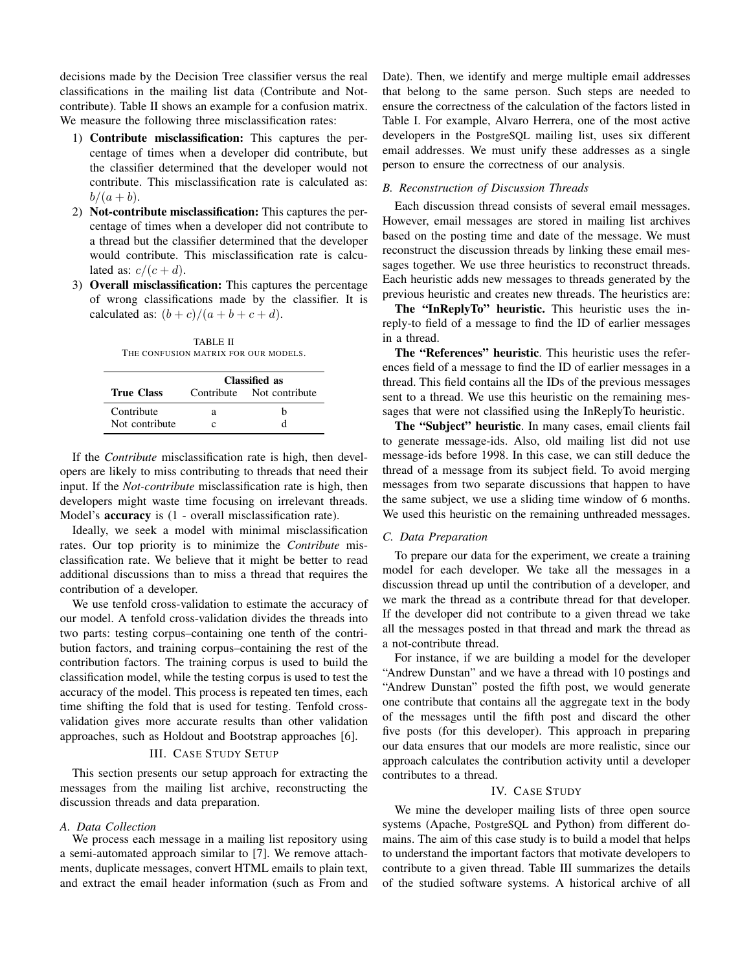decisions made by the Decision Tree classifier versus the real classifications in the mailing list data (Contribute and Notcontribute). Table II shows an example for a confusion matrix. We measure the following three misclassification rates:

- 1) Contribute misclassification: This captures the percentage of times when a developer did contribute, but the classifier determined that the developer would not contribute. This misclassification rate is calculated as:  $b/(a + b)$ .
- 2) Not-contribute misclassification: This captures the percentage of times when a developer did not contribute to a thread but the classifier determined that the developer would contribute. This misclassification rate is calculated as:  $c/(c+d)$ .
- 3) Overall misclassification: This captures the percentage of wrong classifications made by the classifier. It is calculated as:  $(b+c)/(a+b+c+d)$ .

TABLE II THE CONFUSION MATRIX FOR OUR MODELS.

|                   | Classified as |                           |  |  |  |  |
|-------------------|---------------|---------------------------|--|--|--|--|
| <b>True Class</b> |               | Contribute Not contribute |  |  |  |  |
| Contribute        | а             | h                         |  |  |  |  |
| Not contribute    |               |                           |  |  |  |  |

If the *Contribute* misclassification rate is high, then developers are likely to miss contributing to threads that need their input. If the *Not-contribute* misclassification rate is high, then developers might waste time focusing on irrelevant threads. Model's accuracy is (1 - overall misclassification rate).

Ideally, we seek a model with minimal misclassification rates. Our top priority is to minimize the *Contribute* misclassification rate. We believe that it might be better to read additional discussions than to miss a thread that requires the contribution of a developer.

We use tenfold cross-validation to estimate the accuracy of our model. A tenfold cross-validation divides the threads into two parts: testing corpus–containing one tenth of the contribution factors, and training corpus–containing the rest of the contribution factors. The training corpus is used to build the classification model, while the testing corpus is used to test the accuracy of the model. This process is repeated ten times, each time shifting the fold that is used for testing. Tenfold crossvalidation gives more accurate results than other validation approaches, such as Holdout and Bootstrap approaches [6].

# III. CASE STUDY SETUP

This section presents our setup approach for extracting the messages from the mailing list archive, reconstructing the discussion threads and data preparation.

# *A. Data Collection*

We process each message in a mailing list repository using a semi-automated approach similar to [7]. We remove attachments, duplicate messages, convert HTML emails to plain text, and extract the email header information (such as From and Date). Then, we identify and merge multiple email addresses that belong to the same person. Such steps are needed to ensure the correctness of the calculation of the factors listed in Table I. For example, Alvaro Herrera, one of the most active developers in the PostgreSQL mailing list, uses six different email addresses. We must unify these addresses as a single person to ensure the correctness of our analysis.

# *B. Reconstruction of Discussion Threads*

Each discussion thread consists of several email messages. However, email messages are stored in mailing list archives based on the posting time and date of the message. We must reconstruct the discussion threads by linking these email messages together. We use three heuristics to reconstruct threads. Each heuristic adds new messages to threads generated by the previous heuristic and creates new threads. The heuristics are:

The "InReplyTo" heuristic. This heuristic uses the inreply-to field of a message to find the ID of earlier messages in a thread.

The "References" heuristic. This heuristic uses the references field of a message to find the ID of earlier messages in a thread. This field contains all the IDs of the previous messages sent to a thread. We use this heuristic on the remaining messages that were not classified using the InReplyTo heuristic.

The "Subject" heuristic. In many cases, email clients fail to generate message-ids. Also, old mailing list did not use message-ids before 1998. In this case, we can still deduce the thread of a message from its subject field. To avoid merging messages from two separate discussions that happen to have the same subject, we use a sliding time window of 6 months. We used this heuristic on the remaining unthreaded messages.

## *C. Data Preparation*

To prepare our data for the experiment, we create a training model for each developer. We take all the messages in a discussion thread up until the contribution of a developer, and we mark the thread as a contribute thread for that developer. If the developer did not contribute to a given thread we take all the messages posted in that thread and mark the thread as a not-contribute thread.

For instance, if we are building a model for the developer "Andrew Dunstan" and we have a thread with 10 postings and "Andrew Dunstan" posted the fifth post, we would generate one contribute that contains all the aggregate text in the body of the messages until the fifth post and discard the other five posts (for this developer). This approach in preparing our data ensures that our models are more realistic, since our approach calculates the contribution activity until a developer contributes to a thread.

# IV. CASE STUDY

We mine the developer mailing lists of three open source systems (Apache, PostgreSQL and Python) from different domains. The aim of this case study is to build a model that helps to understand the important factors that motivate developers to contribute to a given thread. Table III summarizes the details of the studied software systems. A historical archive of all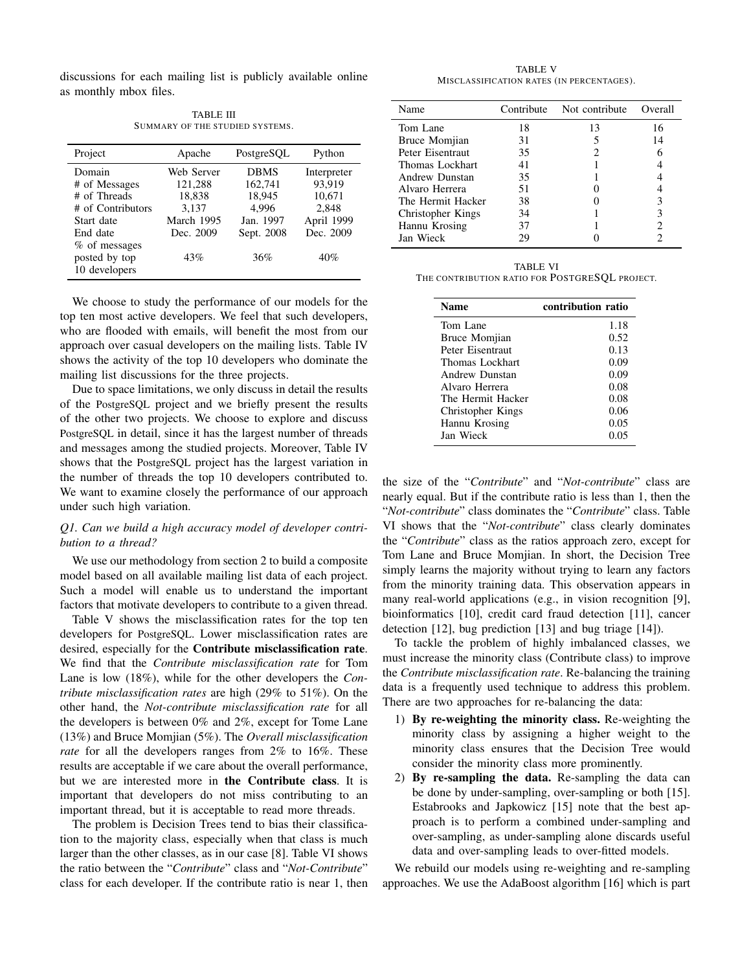discussions for each mailing list is publicly available online as monthly mbox files.

TABLE III SUMMARY OF THE STUDIED SYSTEMS.

| Project           | Apache     | PostgreSQL  | Python      |
|-------------------|------------|-------------|-------------|
| Domain            | Web Server | <b>DBMS</b> | Interpreter |
| # of Messages     | 121,288    | 162,741     | 93,919      |
| # of Threads      | 18,838     | 18,945      | 10,671      |
| # of Contributors | 3.137      | 4.996       | 2,848       |
| Start date        | March 1995 | Jan. 1997   | April 1999  |
| End date          | Dec. 2009  | Sept. 2008  | Dec. 2009   |
| $%$ of messages   |            |             |             |
| posted by top     | 43%        | 36%         | 40%         |
| 10 developers     |            |             |             |

We choose to study the performance of our models for the top ten most active developers. We feel that such developers, who are flooded with emails, will benefit the most from our approach over casual developers on the mailing lists. Table IV shows the activity of the top 10 developers who dominate the mailing list discussions for the three projects.

Due to space limitations, we only discuss in detail the results of the PostgreSQL project and we briefly present the results of the other two projects. We choose to explore and discuss PostgreSQL in detail, since it has the largest number of threads and messages among the studied projects. Moreover, Table IV shows that the PostgreSQL project has the largest variation in the number of threads the top 10 developers contributed to. We want to examine closely the performance of our approach under such high variation.

# *Q1. Can we build a high accuracy model of developer contribution to a thread?*

We use our methodology from section 2 to build a composite model based on all available mailing list data of each project. Such a model will enable us to understand the important factors that motivate developers to contribute to a given thread.

Table V shows the misclassification rates for the top ten developers for PostgreSQL. Lower misclassification rates are desired, especially for the Contribute misclassification rate. We find that the *Contribute misclassification rate* for Tom Lane is low (18%), while for the other developers the *Contribute misclassification rates* are high (29% to 51%). On the other hand, the *Not-contribute misclassification rate* for all the developers is between 0% and 2%, except for Tome Lane (13%) and Bruce Momjian (5%). The *Overall misclassification rate* for all the developers ranges from 2% to 16%. These results are acceptable if we care about the overall performance, but we are interested more in the Contribute class. It is important that developers do not miss contributing to an important thread, but it is acceptable to read more threads.

The problem is Decision Trees tend to bias their classification to the majority class, especially when that class is much larger than the other classes, as in our case [8]. Table VI shows the ratio between the "*Contribute*" class and "*Not-Contribute*" class for each developer. If the contribute ratio is near 1, then

TABLE V MISCLASSIFICATION RATES (IN PERCENTAGES).

| Name              | Contribute | Not contribute | Overall |
|-------------------|------------|----------------|---------|
| Tom Lane          | 18         | 13             | 16      |
| Bruce Momjian     | 31         |                | 14      |
| Peter Eisentraut  | 35         | 2              |         |
| Thomas Lockhart   | 41         |                |         |
| Andrew Dunstan    | 35         |                |         |
| Alvaro Herrera    | 51         |                |         |
| The Hermit Hacker | 38         |                | 3       |
| Christopher Kings | 34         |                | 3       |
| Hannu Krosing     | 37         |                |         |
| Jan Wieck         | 29         |                |         |

TABLE VI THE CONTRIBUTION RATIO FOR POSTGRESQL PROJECT.

| <b>Name</b>       | contribution ratio |
|-------------------|--------------------|
| Tom Lane          | 1.18               |
| Bruce Momjian     | 0.52               |
| Peter Eisentraut  | 0.13               |
| Thomas Lockhart   | 0.09               |
| Andrew Dunstan    | 0.09               |
| Alvaro Herrera    | 0.08               |
| The Hermit Hacker | 0.08               |
| Christopher Kings | 0.06               |
| Hannu Krosing     | 0.05               |
| Jan Wieck         | 0.05               |

the size of the "*Contribute*" and "*Not-contribute*" class are nearly equal. But if the contribute ratio is less than 1, then the "*Not-contribute*" class dominates the "*Contribute*" class. Table VI shows that the "*Not-contribute*" class clearly dominates the "*Contribute*" class as the ratios approach zero, except for Tom Lane and Bruce Momjian. In short, the Decision Tree simply learns the majority without trying to learn any factors from the minority training data. This observation appears in many real-world applications (e.g., in vision recognition [9], bioinformatics [10], credit card fraud detection [11], cancer detection [12], bug prediction [13] and bug triage [14]).

To tackle the problem of highly imbalanced classes, we must increase the minority class (Contribute class) to improve the *Contribute misclassification rate*. Re-balancing the training data is a frequently used technique to address this problem. There are two approaches for re-balancing the data:

- 1) By re-weighting the minority class. Re-weighting the minority class by assigning a higher weight to the minority class ensures that the Decision Tree would consider the minority class more prominently.
- 2) By re-sampling the data. Re-sampling the data can be done by under-sampling, over-sampling or both [15]. Estabrooks and Japkowicz [15] note that the best approach is to perform a combined under-sampling and over-sampling, as under-sampling alone discards useful data and over-sampling leads to over-fitted models.

We rebuild our models using re-weighting and re-sampling approaches. We use the AdaBoost algorithm [16] which is part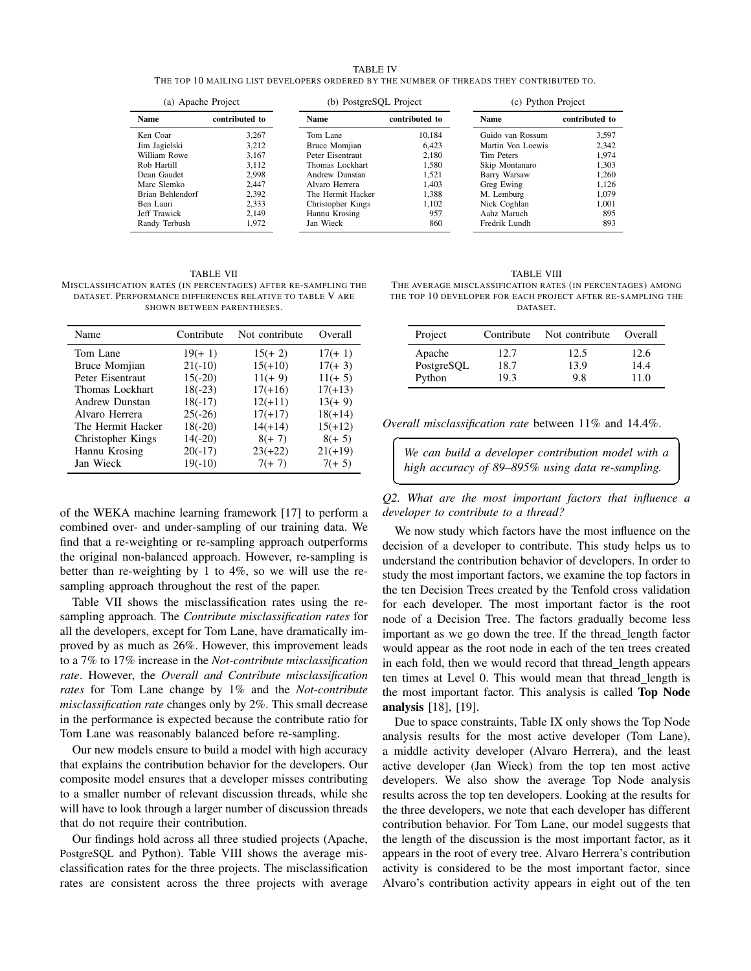#### TABLE IV

THE TOP 10 MAILING LIST DEVELOPERS ORDERED BY THE NUMBER OF THREADS THEY CONTRIBUTED TO.

| (a) Apache Project            |       | (b) PostgreSQL Project |                | (c) Python Project |                |  |
|-------------------------------|-------|------------------------|----------------|--------------------|----------------|--|
| contributed to<br><b>Name</b> |       | <b>Name</b>            | contributed to | <b>Name</b>        | contributed to |  |
| Ken Coar                      | 3.267 | Tom Lane               | 10.184         | Guido van Rossum   | 3.597          |  |
| Jim Jagielski                 | 3.212 | Bruce Momjian          | 6.423          | Martin Von Loewis  | 2.342          |  |
| William Rowe                  | 3.167 | Peter Eisentraut       | 2.180          | Tim Peters         | 1.974          |  |
| Rob Hartill                   | 3.112 | Thomas Lockhart        | 1.580          | Skip Montanaro     | 1.303          |  |
| Dean Gaudet                   | 2.998 | Andrew Dunstan         | 1.521          | Barry Warsaw       | 1.260          |  |
| Marc Slemko                   | 2.447 | Alvaro Herrera         | 1.403          | Greg Ewing         | 1.126          |  |
| Brian Behlendorf              | 2.392 | The Hermit Hacker      | 1.388          | M. Lemburg         | 1.079          |  |
| Ben Lauri                     | 2.333 | Christopher Kings      | 1.102          | Nick Coghlan       | 1.001          |  |
| Jeff Trawick                  | 2.149 | Hannu Krosing          | 957            | Aahz Maruch        | 895            |  |
| Randy Terbush                 | 1.972 | Jan Wieck              | 860            | Fredrik Lundh      | 893            |  |

 $\overline{a}$ 

✝

TABLE VII MISCLASSIFICATION RATES (IN PERCENTAGES) AFTER RE-SAMPLING THE DATASET. PERFORMANCE DIFFERENCES RELATIVE TO TABLE V ARE SHOWN BETWEEN PARENTHESES.

| Name              | Contribute | Not contribute | Overall   |
|-------------------|------------|----------------|-----------|
| Tom Lane          | $19(+1)$   | $15(+ 2)$      | $17(+1)$  |
| Bruce Momjian     | $21(-10)$  | $15(+10)$      | $17(+3)$  |
| Peter Eisentraut  | $15(-20)$  | $11(+9)$       | $11(+ 5)$ |
| Thomas Lockhart   | $18(-23)$  | $17(+16)$      | $17(+13)$ |
| Andrew Dunstan    | $18(-17)$  | $12(+11)$      | $13(+9)$  |
| Alvaro Herrera    | $25(-26)$  | $17(+17)$      | $18(+14)$ |
| The Hermit Hacker | $18(-20)$  | $14(+14)$      | $15(+12)$ |
| Christopher Kings | $14(-20)$  | $8(+ 7)$       | $8(+ 5)$  |
| Hannu Krosing     | $20(-17)$  | $23(+22)$      | $21(+19)$ |
| Jan Wieck         | $19(-10)$  | $7(+7)$        | $7(+ 5)$  |

of the WEKA machine learning framework [17] to perform a combined over- and under-sampling of our training data. We find that a re-weighting or re-sampling approach outperforms the original non-balanced approach. However, re-sampling is better than re-weighting by 1 to 4%, so we will use the resampling approach throughout the rest of the paper.

Table VII shows the misclassification rates using the resampling approach. The *Contribute misclassification rates* for all the developers, except for Tom Lane, have dramatically improved by as much as 26%. However, this improvement leads to a 7% to 17% increase in the *Not-contribute misclassification rate*. However, the *Overall and Contribute misclassification rates* for Tom Lane change by 1% and the *Not-contribute misclassification rate* changes only by 2%. This small decrease in the performance is expected because the contribute ratio for Tom Lane was reasonably balanced before re-sampling.

Our new models ensure to build a model with high accuracy that explains the contribution behavior for the developers. Our composite model ensures that a developer misses contributing to a smaller number of relevant discussion threads, while she will have to look through a larger number of discussion threads that do not require their contribution.

Our findings hold across all three studied projects (Apache, PostgreSQL and Python). Table VIII shows the average misclassification rates for the three projects. The misclassification rates are consistent across the three projects with average

TABLE VIII THE AVERAGE MISCLASSIFICATION RATES (IN PERCENTAGES) AMONG THE TOP 10 DEVELOPER FOR EACH PROJECT AFTER RE-SAMPLING THE DATASET.

| Project              | Contribute   | Not contribute | Overall      |
|----------------------|--------------|----------------|--------------|
| Apache<br>PostgreSQL | 12.7<br>18.7 | 12.5<br>13.9   | 12.6<br>14.4 |
| Python               | 19.3         | 9.8            | 11.0         |

*Overall misclassification rate* between 11% and 14.4%.

*We can build a developer contribution model with a high accuracy of 89–895% using data re-sampling.*

☎

✆

*Q2. What are the most important factors that influence a developer to contribute to a thread?*

We now study which factors have the most influence on the decision of a developer to contribute. This study helps us to understand the contribution behavior of developers. In order to study the most important factors, we examine the top factors in the ten Decision Trees created by the Tenfold cross validation for each developer. The most important factor is the root node of a Decision Tree. The factors gradually become less important as we go down the tree. If the thread length factor would appear as the root node in each of the ten trees created in each fold, then we would record that thread length appears ten times at Level 0. This would mean that thread length is the most important factor. This analysis is called Top Node analysis [18], [19].

Due to space constraints, Table IX only shows the Top Node analysis results for the most active developer (Tom Lane), a middle activity developer (Alvaro Herrera), and the least active developer (Jan Wieck) from the top ten most active developers. We also show the average Top Node analysis results across the top ten developers. Looking at the results for the three developers, we note that each developer has different contribution behavior. For Tom Lane, our model suggests that the length of the discussion is the most important factor, as it appears in the root of every tree. Alvaro Herrera's contribution activity is considered to be the most important factor, since Alvaro's contribution activity appears in eight out of the ten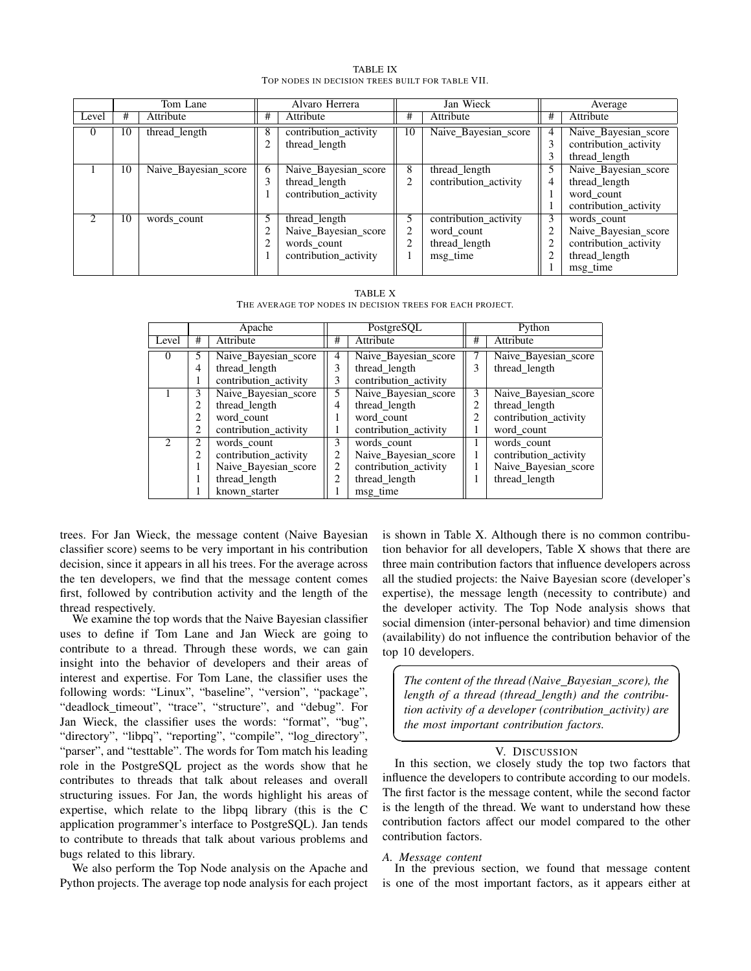|          | Tom Lane |                      | Alvaro Herrera |                                                                               | Jan Wieck |                                                                  | Average |                                                                                           |
|----------|----------|----------------------|----------------|-------------------------------------------------------------------------------|-----------|------------------------------------------------------------------|---------|-------------------------------------------------------------------------------------------|
| Level    | #        | Attribute            | #              | Attribute                                                                     | #         | Attribute                                                        | #       | Attribute                                                                                 |
| $\Omega$ | 10       | thread_length        | 8<br>2         | contribution_activity<br>thread length                                        | 10        | Naive_Bayesian_score                                             |         | Naive_Bayesian_score<br>contribution activity<br>thread_length                            |
|          | 10       | Naive_Bayesian_score | 6<br>3         | Naive Bayesian score<br>thread length<br>contribution_activity                | 8<br>◠    | thread length<br>contribution activity                           | 4       | Naive Bayesian score<br>thread length<br>word count<br>contribution activity              |
|          | 10       | words_count          | 5<br>າ<br>2    | thread_length<br>Naive_Bayesian_score<br>words_count<br>contribution_activity |           | contribution_activity<br>word count<br>thread_length<br>msg time | 3       | words_count<br>Naive_Bayesian_score<br>contribution_activity<br>thread length<br>msg_time |

TABLE IX TOP NODES IN DECISION TREES BUILT FOR TABLE VII.

TABLE X THE AVERAGE TOP NODES IN DECISION TREES FOR EACH PROJECT.

|          | Apache         |                       |   | PostgreSQL            |   | Python                |  |
|----------|----------------|-----------------------|---|-----------------------|---|-----------------------|--|
| Level    | #              | Attribute             | # | Attribute             | # | Attribute             |  |
| $\theta$ | 5              | Naive_Bayesian_score  |   | Naive_Bayesian_score  |   | Naive Bayesian score  |  |
|          | 4              | thread length         | 3 | thread length         | 3 | thread length         |  |
|          |                | contribution_activity | 3 | contribution_activity |   |                       |  |
|          | 3              | Naive Bayesian score  | 5 | Naive Bayesian score  | 3 | Naive_Bayesian_score  |  |
|          | 2              | thread_length         | 4 | thread_length         |   | thread_length         |  |
|          | 2              | word count            |   | word count            | 2 | contribution_activity |  |
|          | $\overline{c}$ | contribution_activity |   | contribution_activity |   | word count            |  |
|          | 2              | words count           | 3 | words count           |   | words count           |  |
|          | 2              | contribution activity | 2 | Naive Bayesian score  | 1 | contribution activity |  |
|          | ш              | Naive_Bayesian_score  | 2 | contribution_activity |   | Naive_Bayesian_score  |  |
|          |                | thread_length         | 2 | thread length         |   | thread_length         |  |
|          |                | known starter         |   | msg_time              |   |                       |  |

trees. For Jan Wieck, the message content (Naive Bayesian classifier score) seems to be very important in his contribution decision, since it appears in all his trees. For the average across the ten developers, we find that the message content comes first, followed by contribution activity and the length of the thread respectively.

We examine the top words that the Naive Bayesian classifier uses to define if Tom Lane and Jan Wieck are going to contribute to a thread. Through these words, we can gain insight into the behavior of developers and their areas of interest and expertise. For Tom Lane, the classifier uses the following words: "Linux", "baseline", "version", "package", "deadlock\_timeout", "trace", "structure", and "debug". For Jan Wieck, the classifier uses the words: "format", "bug", "directory", "libpq", "reporting", "compile", "log\_directory", "parser", and "testtable". The words for Tom match his leading role in the PostgreSQL project as the words show that he contributes to threads that talk about releases and overall structuring issues. For Jan, the words highlight his areas of expertise, which relate to the libpq library (this is the C application programmer's interface to PostgreSQL). Jan tends to contribute to threads that talk about various problems and bugs related to this library.

We also perform the Top Node analysis on the Apache and Python projects. The average top node analysis for each project is shown in Table X. Although there is no common contribution behavior for all developers, Table X shows that there are three main contribution factors that influence developers across all the studied projects: the Naive Bayesian score (developer's expertise), the message length (necessity to contribute) and the developer activity. The Top Node analysis shows that social dimension (inter-personal behavior) and time dimension (availability) do not influence the contribution behavior of the top 10 developers.

*The content of the thread (Naive Bayesian score), the length of a thread (thread length) and the contribution activity of a developer (contribution activity) are the most important contribution factors.*

✟

✠

# V. DISCUSSION

In this section, we closely study the top two factors that influence the developers to contribute according to our models. The first factor is the message content, while the second factor is the length of the thread. We want to understand how these contribution factors affect our model compared to the other contribution factors.

## *A. Message content*

☛

 $\overline{\phantom{0}}$ 

In the previous section, we found that message content is one of the most important factors, as it appears either at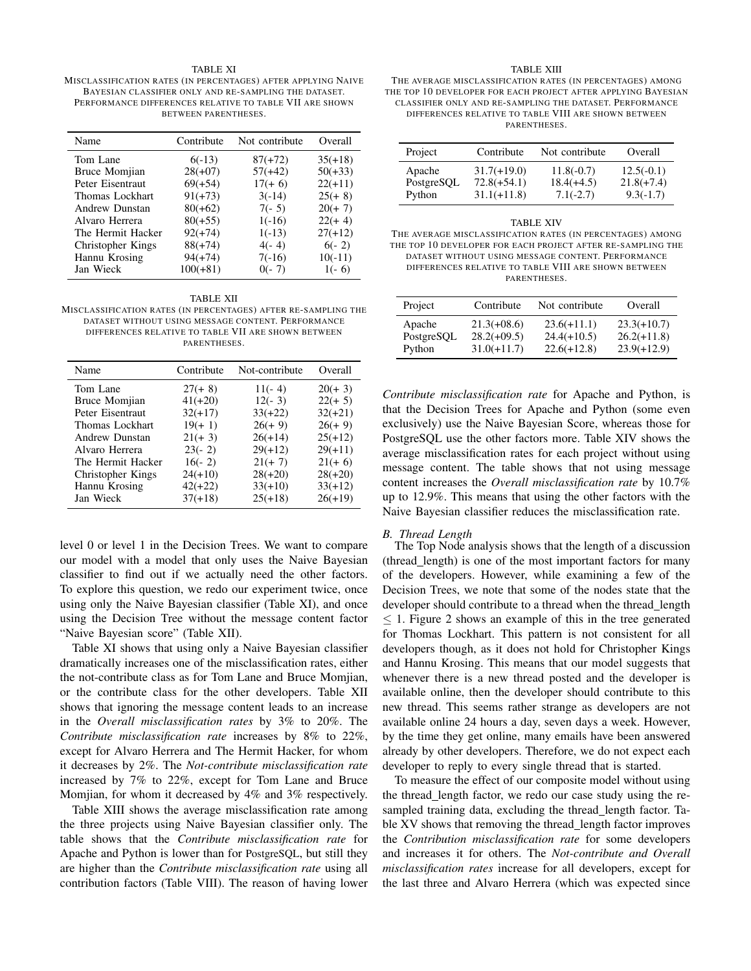## TABLE XI

MISCLASSIFICATION RATES (IN PERCENTAGES) AFTER APPLYING NAIVE BAYESIAN CLASSIFIER ONLY AND RE-SAMPLING THE DATASET. PERFORMANCE DIFFERENCES RELATIVE TO TABLE VII ARE SHOWN BETWEEN PARENTHESES.

| Name                 | Contribute | Not contribute | Overall   |
|----------------------|------------|----------------|-----------|
| Tom Lane             | $6(-13)$   | $87(+72)$      | $35(+18)$ |
| <b>Bruce Momjian</b> | $28(+07)$  | $57(+42)$      | $50(+33)$ |
| Peter Eisentraut     | $69(+54)$  | $17(+ 6)$      | $22(+11)$ |
| Thomas Lockhart      | $91(+73)$  | $3(-14)$       | $25(+ 8)$ |
| Andrew Dunstan       | $80(+62)$  | $7(-5)$        | $20(+7)$  |
| Alvaro Herrera       | $80(+55)$  | $1(-16)$       | $22(+4)$  |
| The Hermit Hacker    | $92(+74)$  | $1(-13)$       | $27(+12)$ |
| Christopher Kings    | $88(+74)$  | $4(-4)$        | $6(-2)$   |
| Hannu Krosing        | $94(+74)$  | $7(-16)$       | $10(-11)$ |
| Jan Wieck            | $100(+81)$ | $0(-7)$        | $1(-6)$   |

#### TABLE XII

MISCLASSIFICATION RATES (IN PERCENTAGES) AFTER RE-SAMPLING THE DATASET WITHOUT USING MESSAGE CONTENT. PERFORMANCE DIFFERENCES RELATIVE TO TABLE VII ARE SHOWN BETWEEN PARENTHESES.

| Name                 | Contribute | Not-contribute | Overall   |
|----------------------|------------|----------------|-----------|
| Tom Lane             | $27(+ 8)$  | $11(-4)$       | $20(+3)$  |
| <b>Bruce Momjian</b> | $41(+20)$  | $12(-3)$       | $22(+ 5)$ |
| Peter Eisentraut     | $32(+17)$  | $33(+22)$      | $32(+21)$ |
| Thomas Lockhart      | $19(+1)$   | $26(+9)$       | $26(+9)$  |
| Andrew Dunstan       | $21(+3)$   | $26(+14)$      | $25(+12)$ |
| Alvaro Herrera       | $23(-2)$   | $29(+12)$      | $29(+11)$ |
| The Hermit Hacker    | $16(-2)$   | $21(+ 7)$      | $21(+ 6)$ |
| Christopher Kings    | $24(+10)$  | $28(+20)$      | $28(+20)$ |
| Hannu Krosing        | $42(+22)$  | $33(+10)$      | $33(+12)$ |
| Jan Wieck            | $37(+18)$  | $25(+18)$      | $26(+19)$ |
|                      |            |                |           |

level 0 or level 1 in the Decision Trees. We want to compare our model with a model that only uses the Naive Bayesian classifier to find out if we actually need the other factors. To explore this question, we redo our experiment twice, once using only the Naive Bayesian classifier (Table XI), and once using the Decision Tree without the message content factor "Naive Bayesian score" (Table XII).

Table XI shows that using only a Naive Bayesian classifier dramatically increases one of the misclassification rates, either the not-contribute class as for Tom Lane and Bruce Momjian, or the contribute class for the other developers. Table XII shows that ignoring the message content leads to an increase in the *Overall misclassification rates* by 3% to 20%. The *Contribute misclassification rate* increases by 8% to 22%, except for Alvaro Herrera and The Hermit Hacker, for whom it decreases by 2%. The *Not-contribute misclassification rate* increased by 7% to 22%, except for Tom Lane and Bruce Momjian, for whom it decreased by 4% and 3% respectively.

Table XIII shows the average misclassification rate among the three projects using Naive Bayesian classifier only. The table shows that the *Contribute misclassification rate* for Apache and Python is lower than for PostgreSQL, but still they are higher than the *Contribute misclassification rate* using all contribution factors (Table VIII). The reason of having lower

#### TABLE XIII

THE AVERAGE MISCLASSIFICATION RATES (IN PERCENTAGES) AMONG THE TOP 10 DEVELOPER FOR EACH PROJECT AFTER APPLYING BAYESIAN CLASSIFIER ONLY AND RE-SAMPLING THE DATASET. PERFORMANCE DIFFERENCES RELATIVE TO TABLE VIII ARE SHOWN BETWEEN PARENTHESES.

| Project    | Contribute    | Not contribute | Overall      |
|------------|---------------|----------------|--------------|
| Apache     | $31.7(+19.0)$ | $11.8(-0.7)$   | $12.5(-0.1)$ |
| PostgreSQL | $72.8(+54.1)$ | $18.4(+4.5)$   | $21.8(+7.4)$ |
| Python     | $31.1(+11.8)$ | $7.1(-2.7)$    | $9.3(-1.7)$  |

| <b>TABLE XIV</b>                                            |
|-------------------------------------------------------------|
| THE AVERAGE MISCLASSIFICATION RATES (IN PERCENTAGES) AMONG  |
| THE TOP 10 DEVELOPER FOR EACH PROJECT AFTER RE-SAMPLING THE |
| DATASET WITHOUT USING MESSAGE CONTENT. PERFORMANCE          |
| DIFFERENCES RELATIVE TO TABLE VIII ARE SHOWN BETWEEN        |
| PARENTHESES.                                                |
|                                                             |

| Project    | Contribute    | Not contribute | Overall       |
|------------|---------------|----------------|---------------|
| Apache     | $21.3(+08.6)$ | $23.6(+11.1)$  | $23.3(+10.7)$ |
| PostgreSQL | $28.2(+09.5)$ | $24.4(+10.5)$  | $26.2(+11.8)$ |
| Python     | $31.0(+11.7)$ | $22.6(+12.8)$  | $23.9(+12.9)$ |

*Contribute misclassification rate* for Apache and Python, is that the Decision Trees for Apache and Python (some even exclusively) use the Naive Bayesian Score, whereas those for PostgreSQL use the other factors more. Table XIV shows the average misclassification rates for each project without using message content. The table shows that not using message content increases the *Overall misclassification rate* by 10.7% up to 12.9%. This means that using the other factors with the Naive Bayesian classifier reduces the misclassification rate.

## *B. Thread Length*

The Top Node analysis shows that the length of a discussion (thread length) is one of the most important factors for many of the developers. However, while examining a few of the Decision Trees, we note that some of the nodes state that the developer should contribute to a thread when the thread length  $\leq$  1. Figure 2 shows an example of this in the tree generated for Thomas Lockhart. This pattern is not consistent for all developers though, as it does not hold for Christopher Kings and Hannu Krosing. This means that our model suggests that whenever there is a new thread posted and the developer is available online, then the developer should contribute to this new thread. This seems rather strange as developers are not available online 24 hours a day, seven days a week. However, by the time they get online, many emails have been answered already by other developers. Therefore, we do not expect each developer to reply to every single thread that is started.

To measure the effect of our composite model without using the thread length factor, we redo our case study using the resampled training data, excluding the thread\_length factor. Table XV shows that removing the thread length factor improves the *Contribution misclassification rate* for some developers and increases it for others. The *Not-contribute and Overall misclassification rates* increase for all developers, except for the last three and Alvaro Herrera (which was expected since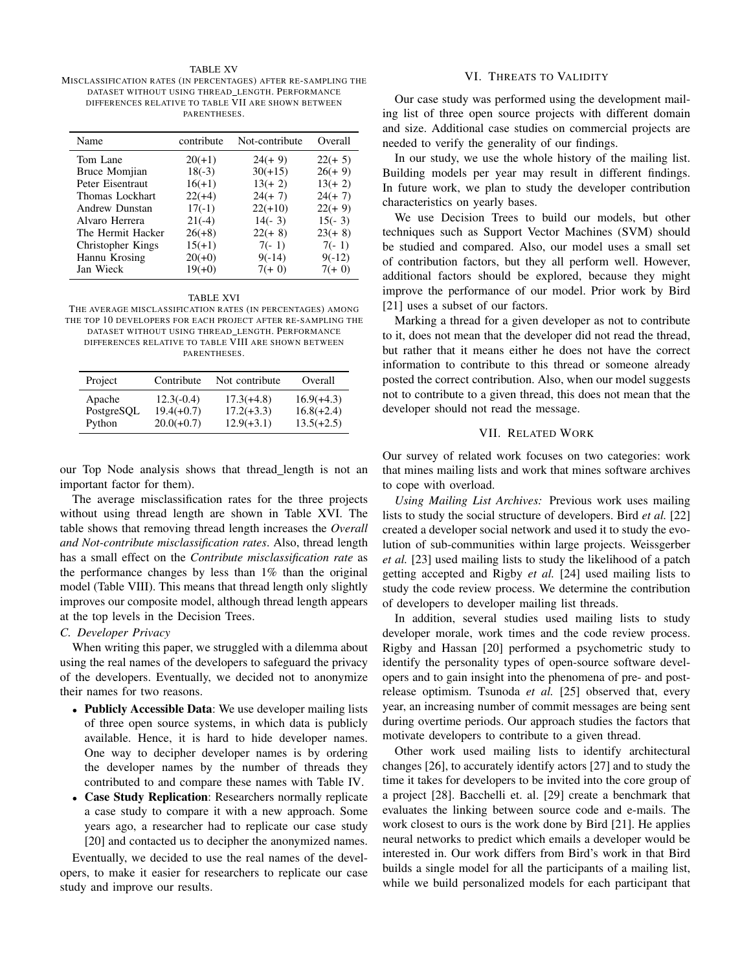#### TABLE XV MISCLASSIFICATION RATES (IN PERCENTAGES) AFTER RE-SAMPLING THE DATASET WITHOUT USING THREAD LENGTH. PERFORMANCE DIFFERENCES RELATIVE TO TABLE VII ARE SHOWN BETWEEN PARENTHESES.

| Name              | contribute | Not-contribute | Overall   |
|-------------------|------------|----------------|-----------|
| Tom Lane          | $20(+1)$   | $24(+9)$       | $22(+ 5)$ |
| Bruce Momjian     | $18(-3)$   | $30(+15)$      | $26(+9)$  |
| Peter Eisentraut  | $16(+1)$   | $13(+ 2)$      | $13(+ 2)$ |
| Thomas Lockhart   | $22(+4)$   | $24(+ 7)$      | $24(+ 7)$ |
| Andrew Dunstan    | $17(-1)$   | $22(+10)$      | $22(+9)$  |
| Alvaro Herrera    | $21(-4)$   | $14(-3)$       | $15(-3)$  |
| The Hermit Hacker | $26(+8)$   | $22(+8)$       | $23(+8)$  |
| Christopher Kings | $15(+1)$   | $7(-1)$        | $7(-1)$   |
| Hannu Krosing     | $20(+0)$   | $9(-14)$       | $9(-12)$  |
| Jan Wieck         | $19(+0)$   | $7(+0)$        | $7(+0)$   |

#### TABLE XVI

THE AVERAGE MISCLASSIFICATION RATES (IN PERCENTAGES) AMONG THE TOP 10 DEVELOPERS FOR EACH PROJECT AFTER RE-SAMPLING THE DATASET WITHOUT USING THREAD LENGTH. PERFORMANCE DIFFERENCES RELATIVE TO TABLE VIII ARE SHOWN BETWEEN PARENTHESES.

| Project    | Contribute   | Not contribute | Overall      |
|------------|--------------|----------------|--------------|
| Apache     | $12.3(-0.4)$ | $17.3(+4.8)$   | $16.9(+4.3)$ |
| PostgreSQL | $19.4(+0.7)$ | $17.2(+3.3)$   | $16.8(+2.4)$ |
| Python     | $20.0(+0.7)$ | $12.9(+3.1)$   | $13.5(+2.5)$ |

our Top Node analysis shows that thread length is not an important factor for them).

The average misclassification rates for the three projects without using thread length are shown in Table XVI. The table shows that removing thread length increases the *Overall and Not-contribute misclassification rates*. Also, thread length has a small effect on the *Contribute misclassification rate* as the performance changes by less than 1% than the original model (Table VIII). This means that thread length only slightly improves our composite model, although thread length appears at the top levels in the Decision Trees.

# *C. Developer Privacy*

When writing this paper, we struggled with a dilemma about using the real names of the developers to safeguard the privacy of the developers. Eventually, we decided not to anonymize their names for two reasons.

- Publicly Accessible Data: We use developer mailing lists of three open source systems, in which data is publicly available. Hence, it is hard to hide developer names. One way to decipher developer names is by ordering the developer names by the number of threads they contributed to and compare these names with Table IV.
- Case Study Replication: Researchers normally replicate a case study to compare it with a new approach. Some years ago, a researcher had to replicate our case study [20] and contacted us to decipher the anonymized names.

Eventually, we decided to use the real names of the developers, to make it easier for researchers to replicate our case study and improve our results.

## VI. THREATS TO VALIDITY

Our case study was performed using the development mailing list of three open source projects with different domain and size. Additional case studies on commercial projects are needed to verify the generality of our findings.

In our study, we use the whole history of the mailing list. Building models per year may result in different findings. In future work, we plan to study the developer contribution characteristics on yearly bases.

We use Decision Trees to build our models, but other techniques such as Support Vector Machines (SVM) should be studied and compared. Also, our model uses a small set of contribution factors, but they all perform well. However, additional factors should be explored, because they might improve the performance of our model. Prior work by Bird [21] uses a subset of our factors.

Marking a thread for a given developer as not to contribute to it, does not mean that the developer did not read the thread, but rather that it means either he does not have the correct information to contribute to this thread or someone already posted the correct contribution. Also, when our model suggests not to contribute to a given thread, this does not mean that the developer should not read the message.

# VII. RELATED WORK

Our survey of related work focuses on two categories: work that mines mailing lists and work that mines software archives to cope with overload.

*Using Mailing List Archives:* Previous work uses mailing lists to study the social structure of developers. Bird *et al.* [22] created a developer social network and used it to study the evolution of sub-communities within large projects. Weissgerber *et al.* [23] used mailing lists to study the likelihood of a patch getting accepted and Rigby *et al.* [24] used mailing lists to study the code review process. We determine the contribution of developers to developer mailing list threads.

In addition, several studies used mailing lists to study developer morale, work times and the code review process. Rigby and Hassan [20] performed a psychometric study to identify the personality types of open-source software developers and to gain insight into the phenomena of pre- and postrelease optimism. Tsunoda *et al.* [25] observed that, every year, an increasing number of commit messages are being sent during overtime periods. Our approach studies the factors that motivate developers to contribute to a given thread.

Other work used mailing lists to identify architectural changes [26], to accurately identify actors [27] and to study the time it takes for developers to be invited into the core group of a project [28]. Bacchelli et. al. [29] create a benchmark that evaluates the linking between source code and e-mails. The work closest to ours is the work done by Bird [21]. He applies neural networks to predict which emails a developer would be interested in. Our work differs from Bird's work in that Bird builds a single model for all the participants of a mailing list, while we build personalized models for each participant that